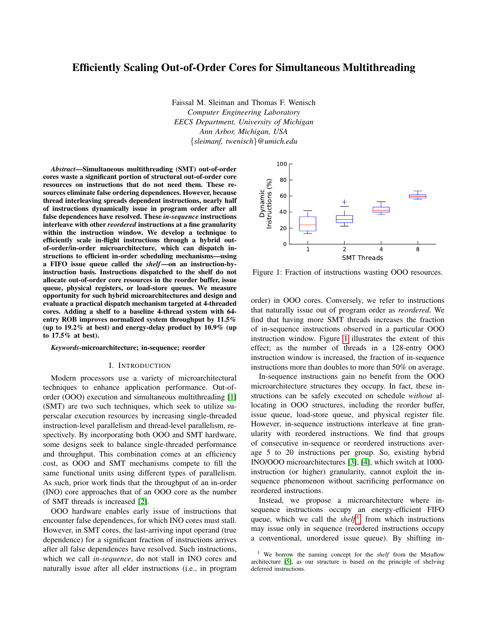# Efficiently Scaling Out-of-Order Cores for Simultaneous Multithreading

Faissal M. Sleiman and Thomas F. Wenisch *Computer Engineering Laboratory EECS Department, University of Michigan Ann Arbor, Michigan, USA* {*sleimanf, twenisch*}*@umich.edu*

*Abstract*—Simultaneous multithreading (SMT) out-of-order cores waste a significant portion of structural out-of-order core resources on instructions that do not need them. These resources eliminate false ordering dependences. However, because thread interleaving spreads dependent instructions, nearly half of instructions dynamically issue in program order after all false dependences have resolved. These *in-sequence* instructions interleave with other *reordered* instructions at a fine granularity within the instruction window. We develop a technique to efficiently scale in-flight instructions through a hybrid outof-order/in-order microarchitecture, which can dispatch instructions to efficient in-order scheduling mechanisms—using a FIFO issue queue called the *shelf*—on an instruction-byinstruction basis. Instructions dispatched to the shelf do not allocate out-of-order core resources in the reorder buffer, issue queue, physical registers, or load-store queues. We measure opportunity for such hybrid microarchitectures and design and evaluate a practical dispatch mechanism targeted at 4-threaded cores. Adding a shelf to a baseline 4-thread system with 64 entry ROB improves normalized system throughput by 11.5% (up to 19.2% at best) and energy-delay product by 10.9% (up to 17.5% at best).

#### *Keywords*-microarchitecture; in-sequence; reorder

#### I. INTRODUCTION

Modern processors use a variety of microarchitectural techniques to enhance application performance. Out-oforder (OOO) execution and simultaneous multithreading [\[1\]](#page-11-0) (SMT) are two such techniques, which seek to utilize superscalar execution resources by increasing single-threaded instruction-level parallelism and thread-level parallelism, respectively. By incorporating both OOO and SMT hardware, some designs seek to balance single-threaded performance and throughput. This combination comes at an efficiency cost, as OOO and SMT mechanisms compete to fill the same functional units using different types of parallelism. As such, prior work finds that the throughput of an in-order (INO) core approaches that of an OOO core as the number of SMT threads is increased [\[2\]](#page-11-1).

OOO hardware enables early issue of instructions that encounter false dependences, for which INO cores must stall. However, in SMT cores, the last-arriving input operand (true dependence) for a significant fraction of instructions arrives after all false dependences have resolved. Such instructions, which we call *in-sequence*, do not stall in INO cores and naturally issue after all elder instructions (i.e., in program

<span id="page-0-0"></span>

Figure 1: Fraction of instructions wasting OOO resources.

order) in OOO cores. Conversely, we refer to instructions that naturally issue out of program order as *reordered*. We find that having more SMT threads increases the fraction of in-sequence instructions observed in a particular OOO instruction window. Figure [1](#page-0-0) illustrates the extent of this effect; as the number of threads in a 128-entry OOO instruction window is increased, the fraction of in-sequence instructions more than doubles to more than 50% on average.

In-sequence instructions gain no benefit from the OOO microarchitecture structures they occupy. In fact, these instructions can be safely executed on schedule *without* allocating in OOO structures, including the reorder buffer, issue queue, load-store queue, and physical register file. However, in-sequence instructions interleave at fine granularity with reordered instructions. We find that groups of consecutive in-sequence or reordered instructions average 5 to 20 instructions per group. So, existing hybrid INO/OOO microarchitectures [\[3\]](#page-11-2), [\[4\]](#page-11-3), which switch at 1000 instruction (or higher) granularity, cannot exploit the insequence phenomenon without sacrificing performance on reordered instructions.

Instead, we propose a microarchitecture where insequence instructions occupy an energy-efficient FIFO queue, which we call the *shelf*<sup>[1](#page-0-1)</sup>, from which instructions may issue only in sequence (reordered instructions occupy a conventional, unordered issue queue). By shifting in-

<span id="page-0-1"></span><sup>1</sup> We borrow the naming concept for the *shelf* from the Metaflow architecture [\[5\]](#page-11-4), as our structure is based on the principle of shelving deferred instructions.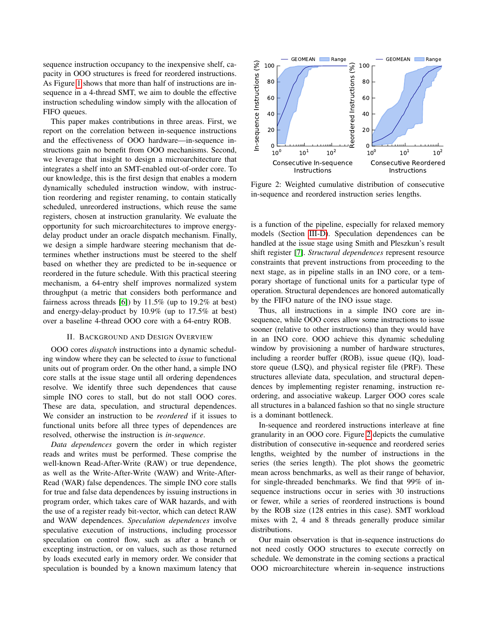sequence instruction occupancy to the inexpensive shelf, capacity in OOO structures is freed for reordered instructions. As Figure [1](#page-0-0) shows that more than half of instructions are insequence in a 4-thread SMT, we aim to double the effective instruction scheduling window simply with the allocation of FIFO queues.

This paper makes contributions in three areas. First, we report on the correlation between in-sequence instructions and the effectiveness of OOO hardware—in-sequence instructions gain no benefit from OOO mechanisms. Second, we leverage that insight to design a microarchitecture that integrates a shelf into an SMT-enabled out-of-order core. To our knowledge, this is the first design that enables a modern dynamically scheduled instruction window, with instruction reordering and register renaming, to contain statically scheduled, unreordered instructions, which reuse the same registers, chosen at instruction granularity. We evaluate the opportunity for such microarchitectures to improve energydelay product under an oracle dispatch mechanism. Finally, we design a simple hardware steering mechanism that determines whether instructions must be steered to the shelf based on whether they are predicted to be in-sequence or reordered in the future schedule. With this practical steering mechanism, a 64-entry shelf improves normalized system throughput (a metric that considers both performance and fairness across threads [\[6\]](#page-11-5)) by 11.5% (up to 19.2% at best) and energy-delay-product by 10.9% (up to 17.5% at best) over a baseline 4-thread OOO core with a 64-entry ROB.

#### II. BACKGROUND AND DESIGN OVERVIEW

OOO cores *dispatch* instructions into a dynamic scheduling window where they can be selected to *issue* to functional units out of program order. On the other hand, a simple INO core stalls at the issue stage until all ordering dependences resolve. We identify three such dependences that cause simple INO cores to stall, but do not stall OOO cores. These are data, speculation, and structural dependences. We consider an instruction to be *reordered* if it issues to functional units before all three types of dependences are resolved, otherwise the instruction is *in-sequence*.

*Data dependences* govern the order in which register reads and writes must be performed. These comprise the well-known Read-After-Write (RAW) or true dependence, as well as the Write-After-Write (WAW) and Write-After-Read (WAR) false dependences. The simple INO core stalls for true and false data dependences by issuing instructions in program order, which takes care of WAR hazards, and with the use of a register ready bit-vector, which can detect RAW and WAW dependences. *Speculation dependences* involve speculative execution of instructions, including processor speculation on control flow, such as after a branch or excepting instruction, or on values, such as those returned by loads executed early in memory order. We consider that speculation is bounded by a known maximum latency that

<span id="page-1-0"></span>

Figure 2: Weighted cumulative distribution of consecutive in-sequence and reordered instruction series lengths.

is a function of the pipeline, especially for relaxed memory models (Section [III-D\)](#page-6-0). Speculation dependences can be handled at the issue stage using Smith and Pleszkun's result shift register [\[7\]](#page-11-6). *Structural dependences* represent resource constraints that prevent instructions from proceeding to the next stage, as in pipeline stalls in an INO core, or a temporary shortage of functional units for a particular type of operation. Structural dependences are honored automatically by the FIFO nature of the INO issue stage.

Thus, all instructions in a simple INO core are insequence, while OOO cores allow some instructions to issue sooner (relative to other instructions) than they would have in an INO core. OOO achieve this dynamic scheduling window by provisioning a number of hardware structures, including a reorder buffer (ROB), issue queue (IQ), loadstore queue (LSQ), and physical register file (PRF). These structures alleviate data, speculation, and structural dependences by implementing register renaming, instruction reordering, and associative wakeup. Larger OOO cores scale all structures in a balanced fashion so that no single structure is a dominant bottleneck.

In-sequence and reordered instructions interleave at fine granularity in an OOO core. Figure [2](#page-1-0) depicts the cumulative distribution of consecutive in-sequence and reordered series lengths, weighted by the number of instructions in the series (the series length). The plot shows the geometric mean across benchmarks, as well as their range of behavior, for single-threaded benchmarks. We find that 99% of insequence instructions occur in series with 30 instructions or fewer, while a series of reordered instructions is bound by the ROB size (128 entries in this case). SMT workload mixes with 2, 4 and 8 threads generally produce similar distributions.

Our main observation is that in-sequence instructions do not need costly OOO structures to execute correctly on schedule. We demonstrate in the coming sections a practical OOO microarchitecture wherein in-sequence instructions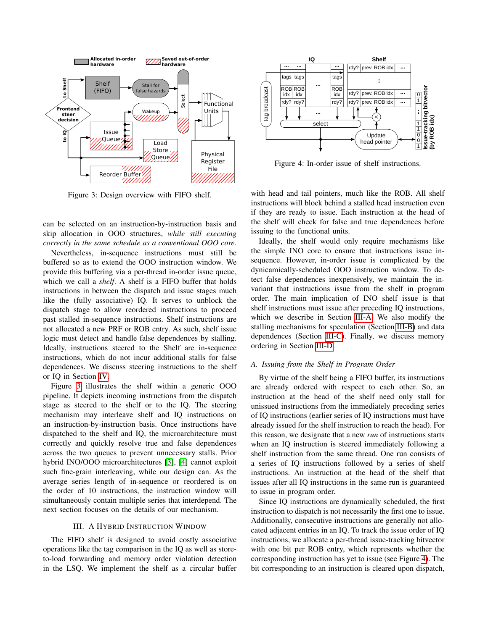<span id="page-2-0"></span>

Figure 3: Design overview with FIFO shelf.

can be selected on an instruction-by-instruction basis and skip allocation in OOO structures, *while still executing correctly in the same schedule as a conventional OOO core*.

Nevertheless, in-sequence instructions must still be buffered so as to extend the OOO instruction window. We provide this buffering via a per-thread in-order issue queue, which we call a *shelf*. A shelf is a FIFO buffer that holds instructions in between the dispatch and issue stages much like the (fully associative) IQ. It serves to unblock the dispatch stage to allow reordered instructions to proceed past stalled in-sequence instructions. Shelf instructions are not allocated a new PRF or ROB entry. As such, shelf issue logic must detect and handle false dependences by stalling. Ideally, instructions steered to the Shelf are in-sequence instructions, which do not incur additional stalls for false dependences. We discuss steering instructions to the shelf or IQ in Section [IV.](#page-6-1)

Figure [3](#page-2-0) illustrates the shelf within a generic OOO pipeline. It depicts incoming instructions from the dispatch stage as steered to the shelf or to the IQ. The steering mechanism may interleave shelf and IQ instructions on an instruction-by-instruction basis. Once instructions have dispatched to the shelf and IQ, the microarchitecture must correctly and quickly resolve true and false dependences across the two queues to prevent unnecessary stalls. Prior hybrid INO/OOO microarchitectures [\[3\]](#page-11-2), [\[4\]](#page-11-3) cannot exploit such fine-grain interleaving, while our design can. As the average series length of in-sequence or reordered is on the order of 10 instructions, the instruction window will simultaneously contain multiple series that interdepend. The next section focuses on the details of our mechanism.

#### III. A HYBRID INSTRUCTION WINDOW

The FIFO shelf is designed to avoid costly associative operations like the tag comparison in the IQ as well as storeto-load forwarding and memory order violation detection in the LSQ. We implement the shelf as a circular buffer

<span id="page-2-2"></span>

Figure 4: In-order issue of shelf instructions.

with head and tail pointers, much like the ROB. All shelf instructions will block behind a stalled head instruction even if they are ready to issue. Each instruction at the head of the shelf will check for false and true dependences before issuing to the functional units.

Ideally, the shelf would only require mechanisms like the simple INO core to ensure that instructions issue insequence. However, in-order issue is complicated by the dynicamically-scheduled OOO instruction window. To detect false dependences inexpensively, we maintain the invariant that instructions issue from the shelf in program order. The main implication of INO shelf issue is that shelf instructions must issue after preceding IQ instructions, which we describe in Section [III-A.](#page-2-1) We also modify the stalling mechanisms for speculation (Section [III-B\)](#page-3-0) and data dependences (Section [III-C\)](#page-4-0). Finally, we discuss memory ordering in Section [III-D.](#page-6-0)

#### <span id="page-2-1"></span>*A. Issuing from the Shelf in Program Order*

By virtue of the shelf being a FIFO buffer, its instructions are already ordered with respect to each other. So, an instruction at the head of the shelf need only stall for unissued instructions from the immediately preceding series of IQ instructions (earlier series of IQ instructions must have already issued for the shelf instruction to reach the head). For this reason, we designate that a new *run* of instructions starts when an IQ instruction is steered immediately following a shelf instruction from the same thread. One run consists of a series of IQ instructions followed by a series of shelf instructions. An instruction at the head of the shelf that issues after all IQ instructions in the same run is guaranteed to issue in program order.

Since IQ instructions are dynamically scheduled, the first instruction to dispatch is not necessarily the first one to issue. Additionally, consecutive instructions are generally not allocated adjacent entries in an IQ. To track the issue order of IQ instructions, we allocate a per-thread issue-tracking bitvector with one bit per ROB entry, which represents whether the corresponding instruction has yet to issue (see Figure [4\)](#page-2-2). The bit corresponding to an instruction is cleared upon dispatch,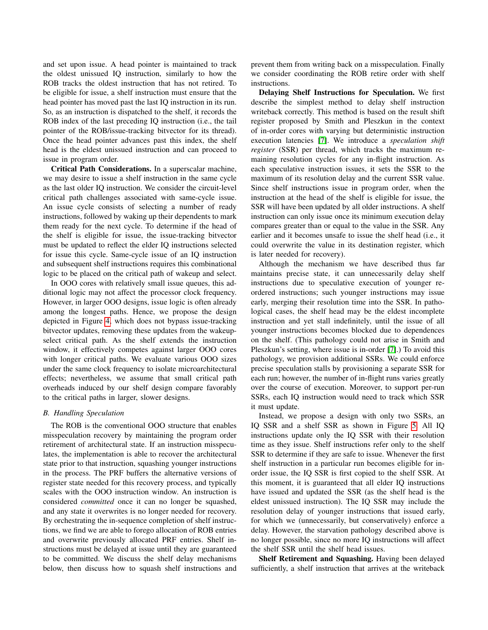and set upon issue. A head pointer is maintained to track the oldest unissued IQ instruction, similarly to how the ROB tracks the oldest instruction that has not retired. To be eligible for issue, a shelf instruction must ensure that the head pointer has moved past the last IQ instruction in its run. So, as an instruction is dispatched to the shelf, it records the ROB index of the last preceding IQ instruction (i.e., the tail pointer of the ROB/issue-tracking bitvector for its thread). Once the head pointer advances past this index, the shelf head is the eldest unissued instruction and can proceed to issue in program order.

Critical Path Considerations. In a superscalar machine, we may desire to issue a shelf instruction in the same cycle as the last older IQ instruction. We consider the circuit-level critical path challenges associated with same-cycle issue. An issue cycle consists of selecting a number of ready instructions, followed by waking up their dependents to mark them ready for the next cycle. To determine if the head of the shelf is eligible for issue, the issue-tracking bitvector must be updated to reflect the elder IQ instructions selected for issue this cycle. Same-cycle issue of an IQ instruction and subsequent shelf instructions requires this combinational logic to be placed on the critical path of wakeup and select.

In OOO cores with relatively small issue queues, this additional logic may not affect the processor clock frequency. However, in larger OOO designs, issue logic is often already among the longest paths. Hence, we propose the design depicted in Figure [4,](#page-2-2) which does not bypass issue-tracking bitvector updates, removing these updates from the wakeupselect critical path. As the shelf extends the instruction window, it effectively competes against larger OOO cores with longer critical paths. We evaluate various OOO sizes under the same clock frequency to isolate microarchitectural effects; nevertheless, we assume that small critical path overheads induced by our shelf design compare favorably to the critical paths in larger, slower designs.

#### <span id="page-3-0"></span>*B. Handling Speculation*

The ROB is the conventional OOO structure that enables misspeculation recovery by maintaining the program order retirement of architectural state. If an instruction misspeculates, the implementation is able to recover the architectural state prior to that instruction, squashing younger instructions in the process. The PRF buffers the alternative versions of register state needed for this recovery process, and typically scales with the OOO instruction window. An instruction is considered *committed* once it can no longer be squashed, and any state it overwrites is no longer needed for recovery. By orchestrating the in-sequence completion of shelf instructions, we find we are able to forego allocation of ROB entries and overwrite previously allocated PRF entries. Shelf instructions must be delayed at issue until they are guaranteed to be committed. We discuss the shelf delay mechanisms below, then discuss how to squash shelf instructions and prevent them from writing back on a misspeculation. Finally we consider coordinating the ROB retire order with shelf instructions.

Delaying Shelf Instructions for Speculation. We first describe the simplest method to delay shelf instruction writeback correctly. This method is based on the result shift register proposed by Smith and Pleszkun in the context of in-order cores with varying but deterministic instruction execution latencies [\[7\]](#page-11-6). We introduce a *speculation shift register* (SSR) per thread, which tracks the maximum remaining resolution cycles for any in-flight instruction. As each speculative instruction issues, it sets the SSR to the maximum of its resolution delay and the current SSR value. Since shelf instructions issue in program order, when the instruction at the head of the shelf is eligible for issue, the SSR will have been updated by all older instructions. A shelf instruction can only issue once its minimum execution delay compares greater than or equal to the value in the SSR. Any earlier and it becomes unsafe to issue the shelf head (i.e., it could overwrite the value in its destination register, which is later needed for recovery).

Although the mechanism we have described thus far maintains precise state, it can unnecessarily delay shelf instructions due to speculative execution of younger reordered instructions; such younger instructions may issue early, merging their resolution time into the SSR. In pathological cases, the shelf head may be the eldest incomplete instruction and yet stall indefinitely, until the issue of all younger instructions becomes blocked due to dependences on the shelf. (This pathology could not arise in Smith and Pleszkun's setting, where issue is in-order [\[7\]](#page-11-6).) To avoid this pathology, we provision additional SSRs. We could enforce precise speculation stalls by provisioning a separate SSR for each run; however, the number of in-flight runs varies greatly over the course of execution. Moreover, to support per-run SSRs, each IQ instruction would need to track which SSR it must update.

Instead, we propose a design with only two SSRs, an IQ SSR and a shelf SSR as shown in Figure [5.](#page-4-1) All IQ instructions update only the IQ SSR with their resolution time as they issue. Shelf instructions refer only to the shelf SSR to determine if they are safe to issue. Whenever the first shelf instruction in a particular run becomes eligible for inorder issue, the IQ SSR is first copied to the shelf SSR. At this moment, it is guaranteed that all elder IQ instructions have issued and updated the SSR (as the shelf head is the eldest unissued instruction). The IQ SSR may include the resolution delay of younger instructions that issued early, for which we (unnecessarily, but conservatively) enforce a delay. However, the starvation pathology described above is no longer possible, since no more IQ instructions will affect the shelf SSR until the shelf head issues.

Shelf Retirement and Squashing. Having been delayed sufficiently, a shelf instruction that arrives at the writeback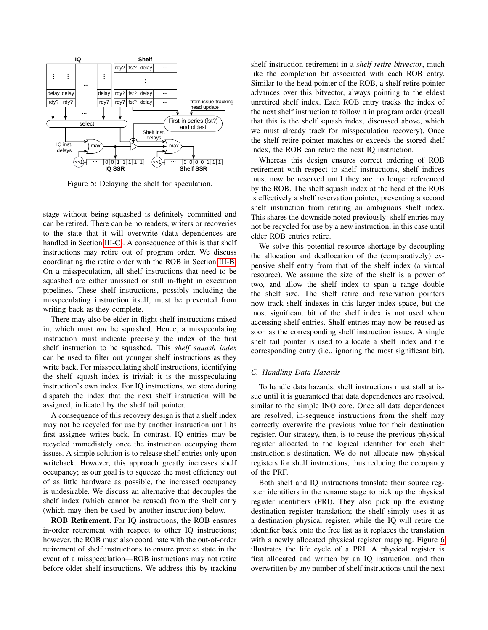<span id="page-4-1"></span>

Figure 5: Delaying the shelf for speculation.

stage without being squashed is definitely committed and can be retired. There can be no readers, writers or recoveries to the state that it will overwrite (data dependences are handled in Section [III-C\)](#page-4-0). A consequence of this is that shelf instructions may retire out of program order. We discuss coordinating the retire order with the ROB in Section [III-B.](#page-4-1) On a misspeculation, all shelf instructions that need to be squashed are either unissued or still in-flight in execution pipelines. These shelf instructions, possibly including the misspeculating instruction itself, must be prevented from writing back as they complete.

There may also be elder in-flight shelf instructions mixed in, which must *not* be squashed. Hence, a misspeculating instruction must indicate precisely the index of the first shelf instruction to be squashed. This *shelf squash index* can be used to filter out younger shelf instructions as they write back. For misspeculating shelf instructions, identifying the shelf squash index is trivial: it is the misspeculating instruction's own index. For IQ instructions, we store during dispatch the index that the next shelf instruction will be assigned, indicated by the shelf tail pointer.

A consequence of this recovery design is that a shelf index may not be recycled for use by another instruction until its first assignee writes back. In contrast, IQ entries may be recycled immediately once the instruction occupying them issues. A simple solution is to release shelf entries only upon writeback. However, this approach greatly increases shelf occupancy; as our goal is to squeeze the most efficiency out of as little hardware as possible, the increased occupancy is undesirable. We discuss an alternative that decouples the shelf index (which cannot be reused) from the shelf entry (which may then be used by another instruction) below.

ROB Retirement. For IQ instructions, the ROB ensures in-order retirement with respect to other IQ instructions; however, the ROB must also coordinate with the out-of-order retirement of shelf instructions to ensure precise state in the event of a misspeculation—ROB instructions may not retire before older shelf instructions. We address this by tracking shelf instruction retirement in a *shelf retire bitvector*, much like the completion bit associated with each ROB entry. Similar to the head pointer of the ROB, a shelf retire pointer advances over this bitvector, always pointing to the eldest unretired shelf index. Each ROB entry tracks the index of the next shelf instruction to follow it in program order (recall that this is the shelf squash index, discussed above, which we must already track for misspeculation recovery). Once the shelf retire pointer matches or exceeds the stored shelf index, the ROB can retire the next IQ instruction.

Whereas this design ensures correct ordering of ROB retirement with respect to shelf instructions, shelf indices must now be reserved until they are no longer referenced by the ROB. The shelf squash index at the head of the ROB is effectively a shelf reservation pointer, preventing a second shelf instruction from retiring an ambiguous shelf index. This shares the downside noted previously: shelf entries may not be recycled for use by a new instruction, in this case until elder ROB entries retire.

We solve this potential resource shortage by decoupling the allocation and deallocation of the (comparatively) expensive shelf entry from that of the shelf index (a virtual resource). We assume the size of the shelf is a power of two, and allow the shelf index to span a range double the shelf size. The shelf retire and reservation pointers now track shelf indexes in this larger index space, but the most significant bit of the shelf index is not used when accessing shelf entries. Shelf entries may now be reused as soon as the corresponding shelf instruction issues. A single shelf tail pointer is used to allocate a shelf index and the corresponding entry (i.e., ignoring the most significant bit).

# <span id="page-4-0"></span>*C. Handling Data Hazards*

To handle data hazards, shelf instructions must stall at issue until it is guaranteed that data dependences are resolved, similar to the simple INO core. Once all data dependences are resolved, in-sequence instructions from the shelf may correctly overwrite the previous value for their destination register. Our strategy, then, is to reuse the previous physical register allocated to the logical identifier for each shelf instruction's destination. We do not allocate new physical registers for shelf instructions, thus reducing the occupancy of the PRF.

Both shelf and IQ instructions translate their source register identifiers in the rename stage to pick up the physical register identifiers (PRI). They also pick up the existing destination register translation; the shelf simply uses it as a destination physical register, while the IQ will retire the identifier back onto the free list as it replaces the translation with a newly allocated physical register mapping. Figure [6](#page-5-0) illustrates the life cycle of a PRI. A physical register is first allocated and written by an IQ instruction, and then overwritten by any number of shelf instructions until the next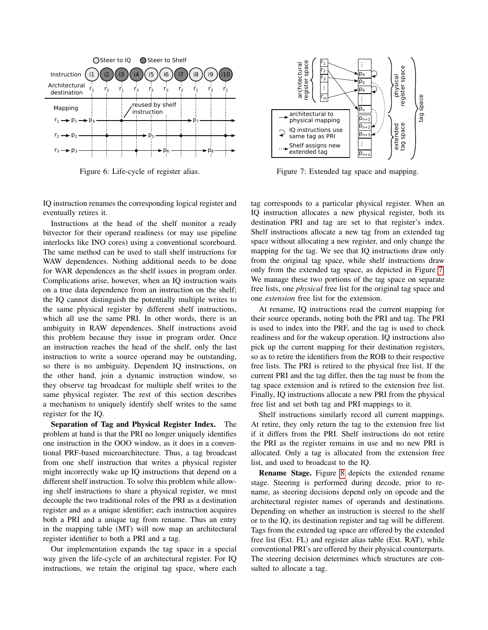<span id="page-5-0"></span>

Figure 6: Life-cycle of register alias.

<span id="page-5-1"></span>

Figure 7: Extended tag space and mapping.

IQ instruction renames the corresponding logical register and eventually retires it.

Instructions at the head of the shelf monitor a ready bitvector for their operand readiness (or may use pipeline interlocks like INO cores) using a conventional scoreboard. The same method can be used to stall shelf instructions for WAW dependences. Nothing additional needs to be done for WAR dependences as the shelf issues in program order. Complications arise, however, when an IQ instruction waits on a true data dependence from an instruction on the shelf; the IQ cannot distinguish the potentially multiple writes to the same physical register by different shelf instructions, which all use the same PRI. In other words, there is an ambiguity in RAW dependences. Shelf instructions avoid this problem because they issue in program order. Once an instruction reaches the head of the shelf, only the last instruction to write a source operand may be outstanding, so there is no ambiguity. Dependent IQ instructions, on the other hand, join a dynamic instruction window, so they observe tag broadcast for multiple shelf writes to the same physical register. The rest of this section describes a mechanism to uniquely identify shelf writes to the same register for the IQ.

Separation of Tag and Physical Register Index. The problem at hand is that the PRI no longer uniquely identifies one instruction in the OOO window, as it does in a conventional PRF-based microarchitecture. Thus, a tag broadcast from one shelf instruction that writes a physical register might incorrectly wake up IQ instructions that depend on a different shelf instruction. To solve this problem while allowing shelf instructions to share a physical register, we must decouple the two traditional roles of the PRI as a destination register and as a unique identifier; each instruction acquires both a PRI and a unique tag from rename. Thus an entry in the mapping table (MT) will now map an architectural register identifier to both a PRI and a tag.

Our implementation expands the tag space in a special way given the life-cycle of an architectural register. For IQ instructions, we retain the original tag space, where each tag corresponds to a particular physical register. When an IQ instruction allocates a new physical register, both its destination PRI and tag are set to that register's index. Shelf instructions allocate a new tag from an extended tag space without allocating a new register, and only change the mapping for the tag. We see that IQ instructions draw only from the original tag space, while shelf instructions draw only from the extended tag space, as depicted in Figure [7.](#page-5-1) We manage these two portions of the tag space on separate free lists, one *physical* free list for the original tag space and one *extension* free list for the extension.

At rename, IQ instructions read the current mapping for their source operands, noting both the PRI and tag. The PRI is used to index into the PRF, and the tag is used to check readiness and for the wakeup operation. IQ instructions also pick up the current mapping for their destination registers, so as to retire the identifiers from the ROB to their respective free lists. The PRI is retired to the physical free list. If the current PRI and the tag differ, then the tag must be from the tag space extension and is retired to the extension free list. Finally, IQ instructions allocate a new PRI from the physical free list and set both tag and PRI mappings to it.

Shelf instructions similarly record all current mappings. At retire, they only return the tag to the extension free list if it differs from the PRI. Shelf instructions do not retire the PRI as the register remains in use and no new PRI is allocated. Only a tag is allocated from the extension free list, and used to broadcast to the IQ.

Rename Stage. Figure [8](#page-6-2) depicts the extended rename stage. Steering is performed during decode, prior to rename, as steering decisions depend only on opcode and the architectural register names of operands and destinations. Depending on whether an instruction is steered to the shelf or to the IQ, its destination register and tag will be different. Tags from the extended tag space are offered by the extended free list (Ext. FL) and register alias table (Ext. RAT), while conventional PRI's are offered by their physical counterparts. The steering decision determines which structures are consulted to allocate a tag.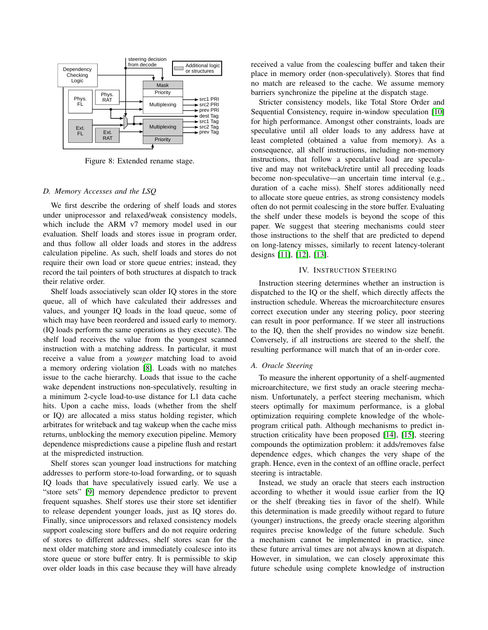<span id="page-6-2"></span>

Figure 8: Extended rename stage.

## <span id="page-6-0"></span>*D. Memory Accesses and the LSQ*

We first describe the ordering of shelf loads and stores under uniprocessor and relaxed/weak consistency models, which include the ARM v7 memory model used in our evaluation. Shelf loads and stores issue in program order, and thus follow all older loads and stores in the address calculation pipeline. As such, shelf loads and stores do not require their own load or store queue entries; instead, they record the tail pointers of both structures at dispatch to track their relative order.

Shelf loads associatively scan older IQ stores in the store queue, all of which have calculated their addresses and values, and younger IQ loads in the load queue, some of which may have been reordered and issued early to memory. (IQ loads perform the same operations as they execute). The shelf load receives the value from the youngest scanned instruction with a matching address. In particular, it must receive a value from a *younger* matching load to avoid a memory ordering violation [\[8\]](#page-11-7). Loads with no matches issue to the cache hierarchy. Loads that issue to the cache wake dependent instructions non-speculatively, resulting in a minimum 2-cycle load-to-use distance for L1 data cache hits. Upon a cache miss, loads (whether from the shelf or IQ) are allocated a miss status holding register, which arbitrates for writeback and tag wakeup when the cache miss returns, unblocking the memory execution pipeline. Memory dependence mispredictions cause a pipeline flush and restart at the mispredicted instruction.

Shelf stores scan younger load instructions for matching addresses to perform store-to-load forwarding, or to squash IQ loads that have speculatively issued early. We use a "store sets" [\[9\]](#page-11-8) memory dependence predictor to prevent frequent squashes. Shelf stores use their store set identifier to release dependent younger loads, just as IQ stores do. Finally, since uniprocessors and relaxed consistency models support coalescing store buffers and do not require ordering of stores to different addresses, shelf stores scan for the next older matching store and immediately coalesce into its store queue or store buffer entry. It is permissible to skip over older loads in this case because they will have already received a value from the coalescing buffer and taken their place in memory order (non-speculatively). Stores that find no match are released to the cache. We assume memory barriers synchronize the pipeline at the dispatch stage.

Stricter consistency models, like Total Store Order and Sequential Consistency, require in-window speculation [\[10\]](#page-11-9) for high performance. Amongst other constraints, loads are speculative until all older loads to any address have at least completed (obtained a value from memory). As a consequence, all shelf instructions, including non-memory instructions, that follow a speculative load are speculative and may not writeback/retire until all preceding loads become non-speculative—an uncertain time interval (e.g., duration of a cache miss). Shelf stores additionally need to allocate store queue entries, as strong consistency models often do not permit coalescing in the store buffer. Evaluating the shelf under these models is beyond the scope of this paper. We suggest that steering mechanisms could steer those instructions to the shelf that are predicted to depend on long-latency misses, similarly to recent latency-tolerant designs [\[11\]](#page-11-10), [\[12\]](#page-11-11), [\[13\]](#page-11-12).

## IV. INSTRUCTION STEERING

<span id="page-6-1"></span>Instruction steering determines whether an instruction is dispatched to the IQ or the shelf, which directly affects the instruction schedule. Whereas the microarchitecture ensures correct execution under any steering policy, poor steering can result in poor performance. If we steer all instructions to the IQ, then the shelf provides no window size benefit. Conversely, if all instructions are steered to the shelf, the resulting performance will match that of an in-order core.

#### *A. Oracle Steering*

To measure the inherent opportunity of a shelf-augmented microarchitecture, we first study an oracle steering mechanism. Unfortunately, a perfect steering mechanism, which steers optimally for maximum performance, is a global optimization requiring complete knowledge of the wholeprogram critical path. Although mechanisms to predict instruction criticality have been proposed [\[14\]](#page-11-13), [\[15\]](#page-11-14), steering compounds the optimization problem: it adds/removes false dependence edges, which changes the very shape of the graph. Hence, even in the context of an offline oracle, perfect steering is intractable.

Instead, we study an oracle that steers each instruction according to whether it would issue earlier from the IQ or the shelf (breaking ties in favor of the shelf). While this determination is made greedily without regard to future (younger) instructions, the greedy oracle steering algorithm requires precise knowledge of the future schedule. Such a mechanism cannot be implemented in practice, since these future arrival times are not always known at dispatch. However, in simulation, we can closely approximate this future schedule using complete knowledge of instruction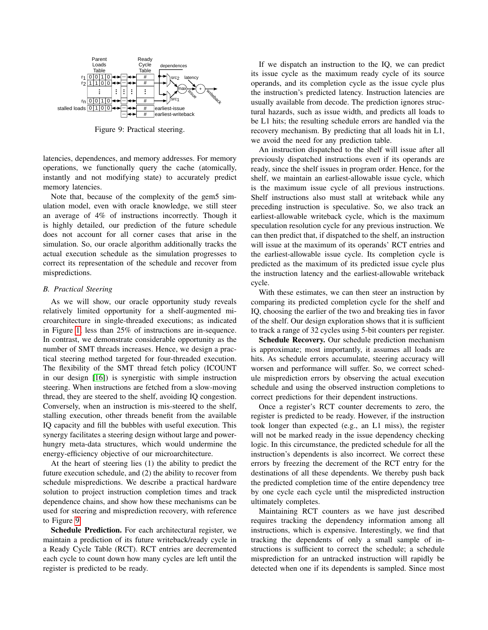<span id="page-7-0"></span>

Figure 9: Practical steering.

latencies, dependences, and memory addresses. For memory operations, we functionally query the cache (atomically, instantly and not modifying state) to accurately predict memory latencies.

Note that, because of the complexity of the gem5 simulation model, even with oracle knowledge, we still steer an average of 4% of instructions incorrectly. Though it is highly detailed, our prediction of the future schedule does not account for all corner cases that arise in the simulation. So, our oracle algorithm additionally tracks the actual execution schedule as the simulation progresses to correct its representation of the schedule and recover from mispredictions.

#### *B. Practical Steering*

As we will show, our oracle opportunity study reveals relatively limited opportunity for a shelf-augmented microarchitecture in single-threaded executions; as indicated in Figure [1,](#page-0-0) less than 25% of instructions are in-sequence. In contrast, we demonstrate considerable opportunity as the number of SMT threads increases. Hence, we design a practical steering method targeted for four-threaded execution. The flexibility of the SMT thread fetch policy (ICOUNT in our design [\[16\]](#page-11-15)) is synergistic with simple instruction steering. When instructions are fetched from a slow-moving thread, they are steered to the shelf, avoiding IQ congestion. Conversely, when an instruction is mis-steered to the shelf, stalling execution, other threads benefit from the available IQ capacity and fill the bubbles with useful execution. This synergy facilitates a steering design without large and powerhungry meta-data structures, which would undermine the energy-efficiency objective of our microarchitecture.

At the heart of steering lies (1) the ability to predict the future execution schedule, and (2) the ability to recover from schedule mispredictions. We describe a practical hardware solution to project instruction completion times and track dependence chains, and show how these mechanisms can be used for steering and misprediction recovery, with reference to Figure [9.](#page-7-0)

Schedule Prediction. For each architectural register, we maintain a prediction of its future writeback/ready cycle in a Ready Cycle Table (RCT). RCT entries are decremented each cycle to count down how many cycles are left until the register is predicted to be ready.

If we dispatch an instruction to the IQ, we can predict its issue cycle as the maximum ready cycle of its source operands, and its completion cycle as the issue cycle plus the instruction's predicted latency. Instruction latencies are usually available from decode. The prediction ignores structural hazards, such as issue width, and predicts all loads to be L1 hits; the resulting schedule errors are handled via the recovery mechanism. By predicting that all loads hit in L1, we avoid the need for any prediction table.

An instruction dispatched to the shelf will issue after all previously dispatched instructions even if its operands are ready, since the shelf issues in program order. Hence, for the shelf, we maintain an earliest-allowable issue cycle, which is the maximum issue cycle of all previous instructions. Shelf instructions also must stall at writeback while any preceding instruction is speculative. So, we also track an earliest-allowable writeback cycle, which is the maximum speculation resolution cycle for any previous instruction. We can then predict that, if dispatched to the shelf, an instruction will issue at the maximum of its operands' RCT entries and the earliest-allowable issue cycle. Its completion cycle is predicted as the maximum of its predicted issue cycle plus the instruction latency and the earliest-allowable writeback cycle.

With these estimates, we can then steer an instruction by comparing its predicted completion cycle for the shelf and IQ, choosing the earlier of the two and breaking ties in favor of the shelf. Our design exploration shows that it is sufficient to track a range of 32 cycles using 5-bit counters per register.

Schedule Recovery. Our schedule prediction mechanism is approximate; most importantly, it assumes all loads are hits. As schedule errors accumulate, steering accuracy will worsen and performance will suffer. So, we correct schedule misprediction errors by observing the actual execution schedule and using the observed instruction completions to correct predictions for their dependent instructions.

Once a register's RCT counter decrements to zero, the register is predicted to be ready. However, if the instruction took longer than expected (e.g., an L1 miss), the register will not be marked ready in the issue dependency checking logic. In this circumstance, the predicted schedule for all the instruction's dependents is also incorrect. We correct these errors by freezing the decrement of the RCT entry for the destinations of all these dependents. We thereby push back the predicted completion time of the entire dependency tree by one cycle each cycle until the mispredicted instruction ultimately completes.

Maintaining RCT counters as we have just described requires tracking the dependency information among all instructions, which is expensive. Interestingly, we find that tracking the dependents of only a small sample of instructions is sufficient to correct the schedule; a schedule misprediction for an untracked instruction will rapidly be detected when one if its dependents is sampled. Since most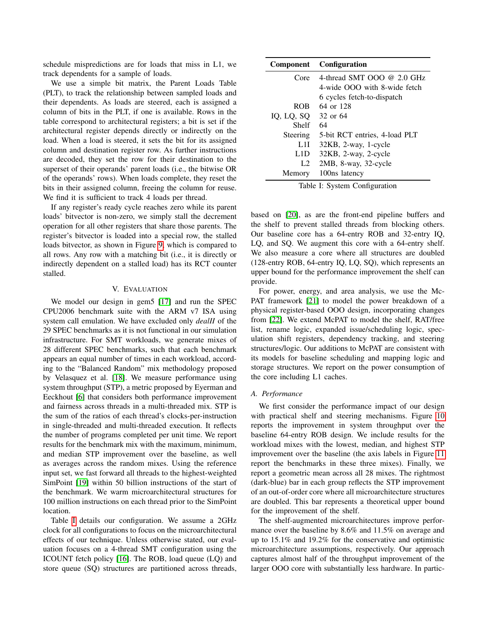schedule mispredictions are for loads that miss in L1, we track dependents for a sample of loads.

We use a simple bit matrix, the Parent Loads Table (PLT), to track the relationship between sampled loads and their dependents. As loads are steered, each is assigned a column of bits in the PLT, if one is available. Rows in the table correspond to architectural registers; a bit is set if the architectural register depends directly or indirectly on the load. When a load is steered, it sets the bit for its assigned column and destination register row. As further instructions are decoded, they set the row for their destination to the superset of their operands' parent loads (i.e., the bitwise OR of the operands' rows). When loads complete, they reset the bits in their assigned column, freeing the column for reuse. We find it is sufficient to track 4 loads per thread.

If any register's ready cycle reaches zero while its parent loads' bitvector is non-zero, we simply stall the decrement operation for all other registers that share those parents. The register's bitvector is loaded into a special row, the stalled loads bitvector, as shown in Figure [9,](#page-7-0) which is compared to all rows. Any row with a matching bit (i.e., it is directly or indirectly dependent on a stalled load) has its RCT counter stalled.

#### V. EVALUATION

We model our design in gem5 [\[17\]](#page-11-16) and run the SPEC CPU2006 benchmark suite with the ARM v7 ISA using system call emulation. We have excluded only *dealII* of the 29 SPEC benchmarks as it is not functional in our simulation infrastructure. For SMT workloads, we generate mixes of 28 different SPEC benchmarks, such that each benchmark appears an equal number of times in each workload, according to the "Balanced Random" mix methodology proposed by Velasquez et al. [\[18\]](#page-12-0). We measure performance using system throughput (STP), a metric proposed by Eyerman and Eeckhout [\[6\]](#page-11-5) that considers both performance improvement and fairness across threads in a multi-threaded mix. STP is the sum of the ratios of each thread's clocks-per-instruction in single-threaded and multi-threaded execution. It reflects the number of programs completed per unit time. We report results for the benchmark mix with the maximum, minimum, and median STP improvement over the baseline, as well as averages across the random mixes. Using the reference input set, we fast forward all threads to the highest-weighted SimPoint [\[19\]](#page-12-1) within 50 billion instructions of the start of the benchmark. We warm microarchitectural structures for 100 million instructions on each thread prior to the SimPoint location.

Table [I](#page-8-0) details our configuration. We assume a 2GHz clock for all configurations to focus on the microarchitectural effects of our technique. Unless otherwise stated, our evaluation focuses on a 4-thread SMT configuration using the ICOUNT fetch policy [\[16\]](#page-11-15). The ROB, load queue (LQ) and store queue (SQ) structures are partitioned across threads,

<span id="page-8-0"></span>

| Component  | Configuration                 |
|------------|-------------------------------|
| Core       | 4-thread SMT $OOO$ @ 2.0 GHz  |
|            | 4-wide OOO with 8-wide fetch  |
|            | 6 cycles fetch-to-dispatch    |
| <b>ROB</b> | 64 or 128                     |
| IQ, LQ, SQ | 32 or 64                      |
| Shelf      | 64                            |
| Steering   | 5-bit RCT entries, 4-load PLT |
| L1I        | 32KB, 2-way, 1-cycle          |
| L1D        | 32KB, 2-way, 2-cycle          |
| L2         | 2MB, 8-way, 32-cycle          |
| Memory     | 100 <sub>ns</sub> latency     |

Table I: System Configuration

based on [\[20\]](#page-12-2), as are the front-end pipeline buffers and the shelf to prevent stalled threads from blocking others. Our baseline core has a 64-entry ROB and 32-entry IQ, LQ, and SQ. We augment this core with a 64-entry shelf. We also measure a core where all structures are doubled (128-entry ROB, 64-entry IQ, LQ, SQ), which represents an upper bound for the performance improvement the shelf can provide.

For power, energy, and area analysis, we use the Mc-PAT framework [\[21\]](#page-12-3) to model the power breakdown of a physical register-based OOO design, incorporating changes from [\[22\]](#page-12-4). We extend McPAT to model the shelf, RAT/free list, rename logic, expanded issue/scheduling logic, speculation shift registers, dependency tracking, and steering structures/logic. Our additions to McPAT are consistent with its models for baseline scheduling and mapping logic and storage structures. We report on the power consumption of the core including L1 caches.

## *A. Performance*

We first consider the performance impact of our design with practical shelf and steering mechanisms. Figure [10](#page-9-0) reports the improvement in system throughput over the baseline 64-entry ROB design. We include results for the workload mixes with the lowest, median, and highest STP improvement over the baseline (the axis labels in Figure [11](#page-9-1) report the benchmarks in these three mixes). Finally, we report a geometric mean across all 28 mixes. The rightmost (dark-blue) bar in each group reflects the STP improvement of an out-of-order core where all microarchitecture structures are doubled. This bar represents a theoretical upper bound for the improvement of the shelf.

The shelf-augmented microarchitectures improve performance over the baseline by 8.6% and 11.5% on average and up to 15.1% and 19.2% for the conservative and optimistic microarchitecture assumptions, respectively. Our approach captures almost half of the throughput improvement of the larger OOO core with substantially less hardware. In partic-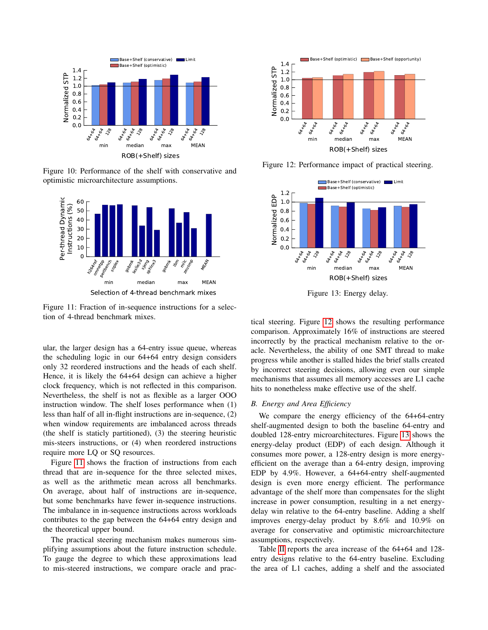<span id="page-9-0"></span>

Figure 10: Performance of the shelf with conservative and optimistic microarchitecture assumptions.

<span id="page-9-1"></span>

Figure 11: Fraction of in-sequence instructions for a selection of 4-thread benchmark mixes.

ular, the larger design has a 64-entry issue queue, whereas the scheduling logic in our 64+64 entry design considers only 32 reordered instructions and the heads of each shelf. Hence, it is likely the 64+64 design can achieve a higher clock frequency, which is not reflected in this comparison. Nevertheless, the shelf is not as flexible as a larger OOO instruction window. The shelf loses performance when (1) less than half of all in-flight instructions are in-sequence, (2) when window requirements are imbalanced across threads (the shelf is staticly partitioned), (3) the steering heuristic mis-steers instructions, or (4) when reordered instructions require more LQ or SQ resources.

Figure [11](#page-9-1) shows the fraction of instructions from each thread that are in-sequence for the three selected mixes, as well as the arithmetic mean across all benchmarks. On average, about half of instructions are in-sequence, but some benchmarks have fewer in-sequence instructions. The imbalance in in-sequence instructions across workloads contributes to the gap between the 64+64 entry design and the theoretical upper bound.

The practical steering mechanism makes numerous simplifying assumptions about the future instruction schedule. To gauge the degree to which these approximations lead to mis-steered instructions, we compare oracle and prac-

<span id="page-9-2"></span>

Figure 12: Performance impact of practical steering.

<span id="page-9-3"></span>

Figure 13: Energy delay.

tical steering. Figure [12](#page-9-2) shows the resulting performance comparison. Approximately 16% of instructions are steered incorrectly by the practical mechanism relative to the oracle. Nevertheless, the ability of one SMT thread to make progress while another is stalled hides the brief stalls created by incorrect steering decisions, allowing even our simple mechanisms that assumes all memory accesses are L1 cache hits to nonetheless make effective use of the shelf.

## *B. Energy and Area Efficiency*

We compare the energy efficiency of the 64+64-entry shelf-augmented design to both the baseline 64-entry and doubled 128-entry microarchitectures. Figure [13](#page-9-3) shows the energy-delay product (EDP) of each design. Although it consumes more power, a 128-entry design is more energyefficient on the average than a 64-entry design, improving EDP by 4.9%. However, a 64+64-entry shelf-augmented design is even more energy efficient. The performance advantage of the shelf more than compensates for the slight increase in power consumption, resulting in a net energydelay win relative to the 64-entry baseline. Adding a shelf improves energy-delay product by 8.6% and 10.9% on average for conservative and optimistic microarchitecture assumptions, respectively.

Table [II](#page-10-0) reports the area increase of the 64+64 and 128 entry designs relative to the 64-entry baseline. Excluding the area of L1 caches, adding a shelf and the associated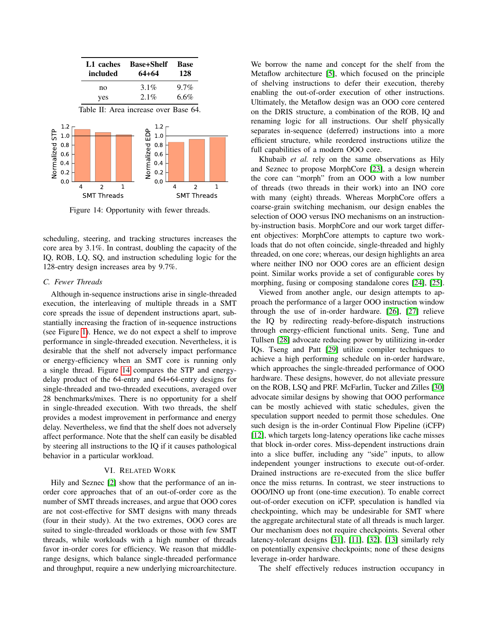<span id="page-10-1"></span><span id="page-10-0"></span>

Figure 14: Opportunity with fewer threads.

scheduling, steering, and tracking structures increases the core area by 3.1%. In contrast, doubling the capacity of the IQ, ROB, LQ, SQ, and instruction scheduling logic for the 128-entry design increases area by 9.7%.

#### *C. Fewer Threads*

Although in-sequence instructions arise in single-threaded execution, the interleaving of multiple threads in a SMT core spreads the issue of dependent instructions apart, substantially increasing the fraction of in-sequence instructions (see Figure [1\)](#page-0-0). Hence, we do not expect a shelf to improve performance in single-threaded execution. Nevertheless, it is desirable that the shelf not adversely impact performance or energy-efficiency when an SMT core is running only a single thread. Figure [14](#page-10-1) compares the STP and energydelay product of the 64-entry and 64+64-entry designs for single-threaded and two-threaded executions, averaged over 28 benchmarks/mixes. There is no opportunity for a shelf in single-threaded execution. With two threads, the shelf provides a modest improvement in performance and energy delay. Nevertheless, we find that the shelf does not adversely affect performance. Note that the shelf can easily be disabled by steering all instructions to the IQ if it causes pathological behavior in a particular workload.

## VI. RELATED WORK

Hily and Seznec [\[2\]](#page-11-1) show that the performance of an inorder core approaches that of an out-of-order core as the number of SMT threads increases, and argue that OOO cores are not cost-effective for SMT designs with many threads (four in their study). At the two extremes, OOO cores are suited to single-threaded workloads or those with few SMT threads, while workloads with a high number of threads favor in-order cores for efficiency. We reason that middlerange designs, which balance single-threaded performance and throughput, require a new underlying microarchitecture. We borrow the name and concept for the shelf from the Metaflow architecture [\[5\]](#page-11-4), which focused on the principle of shelving instructions to defer their execution, thereby enabling the out-of-order execution of other instructions. Ultimately, the Metaflow design was an OOO core centered on the DRIS structure, a combination of the ROB, IQ and renaming logic for all instructions. Our shelf physically separates in-sequence (deferred) instructions into a more efficient structure, while reordered instructions utilize the full capabilities of a modern OOO core.

Khubaib *et al.* rely on the same observations as Hily and Seznec to propose MorphCore [\[23\]](#page-12-5), a design wherein the core can "morph" from an OOO with a low number of threads (two threads in their work) into an INO core with many (eight) threads. Whereas MorphCore offers a coarse-grain switching mechanism, our design enables the selection of OOO versus INO mechanisms on an instructionby-instruction basis. MorphCore and our work target different objectives: MorphCore attempts to capture two workloads that do not often coincide, single-threaded and highly threaded, on one core; whereas, our design highlights an area where neither INO nor OOO cores are an efficient design point. Similar works provide a set of configurable cores by morphing, fusing or composing standalone cores [\[24\]](#page-12-6), [\[25\]](#page-12-7).

Viewed from another angle, our design attempts to approach the performance of a larger OOO instruction window through the use of in-order hardware. [\[26\]](#page-12-8), [\[27\]](#page-12-9) relieve the IQ by redirecting ready-before-dispatch instructions through energy-efficient functional units. Seng, Tune and Tullsen [\[28\]](#page-12-10) advocate reducing power by utilitizing in-order IQs. Tseng and Patt [\[29\]](#page-12-11) utilize compiler techniques to achieve a high performing schedule on in-order hardware, which approaches the single-threaded performance of OOO hardware. These designs, however, do not alleviate pressure on the ROB, LSQ and PRF. McFarlin, Tucker and Zilles [\[30\]](#page-12-12) advocate similar designs by showing that OOO performance can be mostly achieved with static schedules, given the speculation support needed to permit those schedules. One such design is the in-order Continual Flow Pipeline (iCFP) [\[12\]](#page-11-11), which targets long-latency operations like cache misses that block in-order cores. Miss-dependent instructions drain into a slice buffer, including any "side" inputs, to allow independent younger instructions to execute out-of-order. Drained instructions are re-executed from the slice buffer once the miss returns. In contrast, we steer instructions to OOO/INO up front (one-time execution). To enable correct out-of-order execution on iCFP, speculation is handled via checkpointing, which may be undesirable for SMT where the aggregate architectural state of all threads is much larger. Our mechanism does not require checkpoints. Several other latency-tolerant designs [\[31\]](#page-12-13), [\[11\]](#page-11-10), [\[32\]](#page-12-14), [\[13\]](#page-11-12) similarly rely on potentially expensive checkpoints; none of these designs leverage in-order hardware.

The shelf effectively reduces instruction occupancy in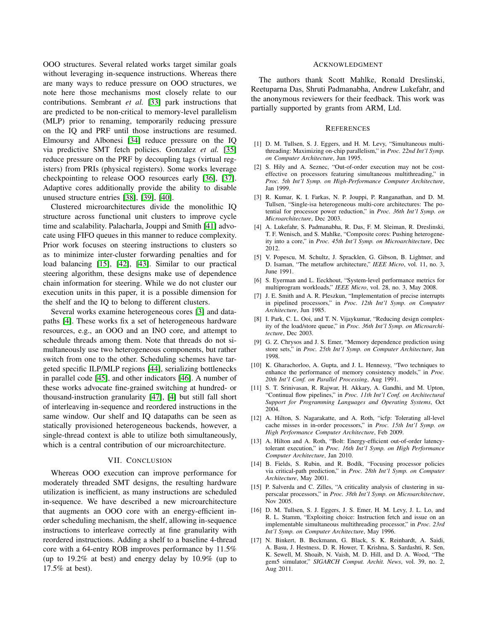OOO structures. Several related works target similar goals without leveraging in-sequence instructions. Whereas there are many ways to reduce pressure on OOO structures, we note here those mechanisms most closely relate to our contributions. Sembrant *et al.* [\[33\]](#page-12-15) park instructions that are predicted to be non-critical to memory-level parallelism (MLP) prior to renaming, temporarily reducing pressure on the IQ and PRF until those instructions are resumed. Elmoursy and Albonesi [\[34\]](#page-12-16) reduce pressure on the IQ via predictive SMT fetch policies. Gonzalez *et al.* [\[35\]](#page-12-17) reduce pressure on the PRF by decoupling tags (virtual registers) from PRIs (physical registers). Some works leverage checkpointing to release OOO resources early [\[36\]](#page-12-18), [\[37\]](#page-12-19). Adaptive cores additionally provide the ability to disable unused structure entries [\[38\]](#page-12-20), [\[39\]](#page-12-21), [\[40\]](#page-12-22).

Clustered microarchitectures divide the monolithic IQ structure across functional unit clusters to improve cycle time and scalability. Palacharla, Jouppi and Smith [\[41\]](#page-12-23) advocate using FIFO queues in this manner to reduce complexity. Prior work focuses on steering instructions to clusters so as to minimize inter-cluster forwarding penalties and for load balancing [\[15\]](#page-11-14), [\[42\]](#page-12-24), [\[43\]](#page-12-25). Similar to our practical steering algorithm, these designs make use of dependence chain information for steering. While we do not cluster our execution units in this paper, it is a possible dimension for the shelf and the IQ to belong to different clusters.

Several works examine heterogeneous cores [\[3\]](#page-11-2) and datapaths [\[4\]](#page-11-3). These works fix a set of heterogeneous hardware resources, e.g., an OOO and an INO core, and attempt to schedule threads among them. Note that threads do not simultaneously use two heterogeneous components, but rather switch from one to the other. Scheduling schemes have targeted specific ILP/MLP regions [\[44\]](#page-12-26), serializing bottlenecks in parallel code [\[45\]](#page-12-27), and other indicators [\[46\]](#page-12-28). A number of these works advocate fine-grained switching at hundred- or thousand-instruction granularity [\[47\]](#page-12-29), [\[4\]](#page-11-3) but still fall short of interleaving in-sequence and reordered instructions in the same window. Our shelf and IQ datapaths can be seen as statically provisioned heterogeneous backends, however, a single-thread context is able to utilize both simultaneously, which is a central contribution of our microarchitecture.

## VII. CONCLUSION

Whereas OOO execution can improve performance for moderately threaded SMT designs, the resulting hardware utilization is inefficient, as many instructions are scheduled in-sequence. We have described a new microarchitecture that augments an OOO core with an energy-efficient inorder scheduling mechanism, the shelf, allowing in-sequence instructions to interleave correctly at fine granularity with reordered instructions. Adding a shelf to a baseline 4-thread core with a 64-entry ROB improves performance by 11.5% (up to 19.2% at best) and energy delay by 10.9% (up to 17.5% at best).

#### ACKNOWLEDGMENT

The authors thank Scott Mahlke, Ronald Dreslinski, Reetuparna Das, Shruti Padmanabha, Andrew Lukefahr, and the anonymous reviewers for their feedback. This work was partially supported by grants from ARM, Ltd.

#### **REFERENCES**

- <span id="page-11-0"></span>[1] D. M. Tullsen, S. J. Eggers, and H. M. Levy, "Simultaneous multithreading: Maximizing on-chip parallelism," in *Proc. 22nd Int'l Symp. on Computer Architecture*, Jun 1995.
- <span id="page-11-1"></span>[2] S. Hily and A. Seznec, "Out-of-order execution may not be costeffective on processors featuring simultaneous multithreading," in *Proc. 5th Int'l Symp. on High-Performance Computer Architecture*, Jan 1999.
- <span id="page-11-2"></span>[3] R. Kumar, K. I. Farkas, N. P. Jouppi, P. Ranganathan, and D. M. Tullsen, "Single-isa heterogeneous multi-core architectures: The potential for processor power reduction," in *Proc. 36th Int'l Symp. on Microarchitecture*, Dec 2003.
- <span id="page-11-3"></span>[4] A. Lukefahr, S. Padmanabha, R. Das, F. M. Sleiman, R. Dreslinski, T. F. Wenisch, and S. Mahlke, "Composite cores: Pushing heterogeneity into a core," in *Proc. 45th Int'l Symp. on Microarchitecture*, Dec 2012.
- <span id="page-11-4"></span>[5] V. Popescu, M. Schultz, J. Spracklen, G. Gibson, B. Lightner, and D. Isaman, "The metaflow architecture," *IEEE Micro*, vol. 11, no. 3, June 1991.
- <span id="page-11-5"></span>[6] S. Eyerman and L. Eeckhout, "System-level performance metrics for multiprogram workloads," *IEEE Micro*, vol. 28, no. 3, May 2008.
- <span id="page-11-6"></span>[7] J. E. Smith and A. R. Pleszkun, "Implementation of precise interrupts in pipelined processors," in *Proc. 12th Int'l Symp. on Computer Architecture*, Jun 1985.
- <span id="page-11-7"></span>[8] I. Park, C. L. Ooi, and T. N. Vijaykumar, "Reducing design complexity of the load/store queue," in *Proc. 36th Int'l Symp. on Microarchitecture*, Dec 2003.
- <span id="page-11-8"></span>[9] G. Z. Chrysos and J. S. Emer, "Memory dependence prediction using store sets," in *Proc. 25th Int'l Symp. on Computer Architecture*, Jun 1998.
- <span id="page-11-9"></span>[10] K. Gharachorloo, A. Gupta, and J. L. Hennessy, "Two techniques to enhance the performance of memory consistency models," in *Proc. 20th Int'l Conf. on Parallel Processing*, Aug 1991.
- <span id="page-11-10"></span>[11] S. T. Srinivasan, R. Rajwar, H. Akkary, A. Gandhi, and M. Upton, "Continual flow pipelines," in *Proc. 11th Int'l Conf. on Architectural Support for Programming Languages and Operating Systems*, Oct 2004.
- <span id="page-11-11"></span>[12] A. Hilton, S. Nagarakatte, and A. Roth, "icfp: Tolerating all-level cache misses in in-order processors," in *Proc. 15th Int'l Symp. on High Performance Computer Architecture*, Feb 2009.
- <span id="page-11-12"></span>[13] A. Hilton and A. Roth, "Bolt: Energy-efficient out-of-order latencytolerant execution," in *Proc. 16th Int'l Symp. on High Performance Computer Architecture*, Jan 2010.
- <span id="page-11-13"></span>[14] B. Fields, S. Rubin, and R. Bodík, "Focusing processor policies via critical-path prediction," in *Proc. 28th Int'l Symp. on Computer Architecture*, May 2001.
- <span id="page-11-14"></span>[15] P. Salverda and C. Zilles, "A criticality analysis of clustering in superscalar processors," in *Proc. 38th Int'l Symp. on Microarchitecture*, Nov 2005.
- <span id="page-11-15"></span>[16] D. M. Tullsen, S. J. Eggers, J. S. Emer, H. M. Levy, J. L. Lo, and R. L. Stamm, "Exploiting choice: Instruction fetch and issue on an implementable simultaneous multithreading processor," in *Proc. 23rd Int'l Symp. on Computer Architecture*, May 1996.
- <span id="page-11-16"></span>[17] N. Binkert, B. Beckmann, G. Black, S. K. Reinhardt, A. Saidi, A. Basu, J. Hestness, D. R. Hower, T. Krishna, S. Sardashti, R. Sen, K. Sewell, M. Shoaib, N. Vaish, M. D. Hill, and D. A. Wood, "The gem5 simulator," *SIGARCH Comput. Archit. News*, vol. 39, no. 2, Aug 2011.